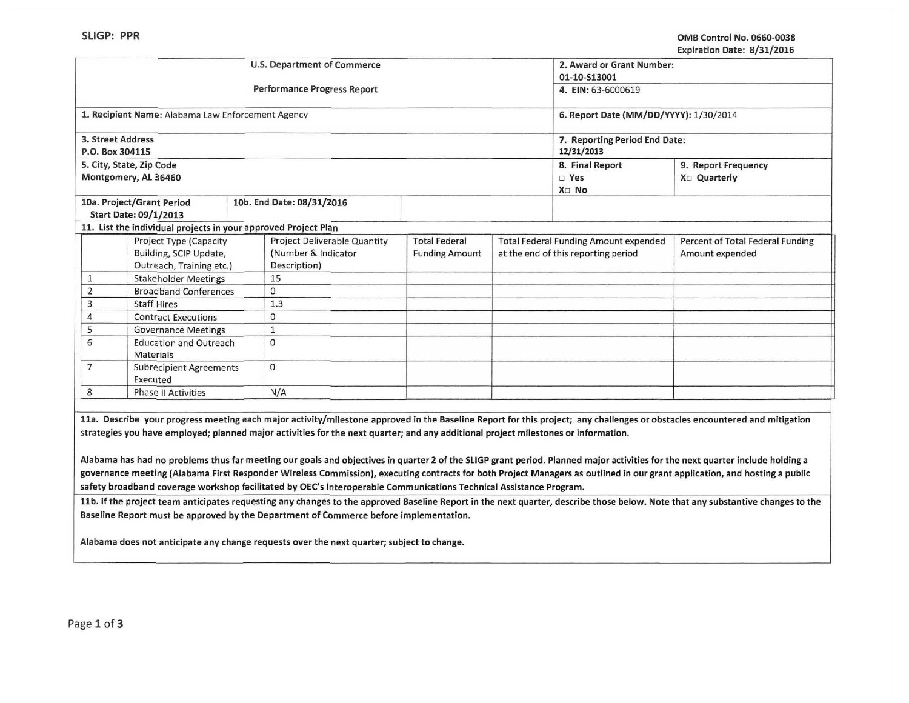|                                    |                                                                |              |                                    |                               |                                        |                                              | LADH ALION DAIC. 0, JI, LOIG     |  |
|------------------------------------|----------------------------------------------------------------|--------------|------------------------------------|-------------------------------|----------------------------------------|----------------------------------------------|----------------------------------|--|
|                                    |                                                                |              | U.S. Department of Commerce        |                               |                                        | 2. Award or Grant Number:                    |                                  |  |
|                                    |                                                                |              |                                    |                               |                                        | 01-10-S13001                                 |                                  |  |
|                                    |                                                                |              | <b>Performance Progress Report</b> |                               | 4. EIN: 63-6000619                     |                                              |                                  |  |
|                                    | 1. Recipient Name: Alabama Law Enforcement Agency              |              |                                    |                               | 6. Report Date (MM/DD/YYYY): 1/30/2014 |                                              |                                  |  |
| 3. Street Address                  |                                                                |              |                                    | 7. Reporting Period End Date: |                                        |                                              |                                  |  |
| P.O. Box 304115                    |                                                                |              |                                    |                               | 12/31/2013                             |                                              |                                  |  |
|                                    | 5. City, State, Zip Code                                       |              |                                    |                               |                                        | 8. Final Report                              | 9. Report Frequency              |  |
|                                    | Montgomery, AL 36460                                           |              |                                    |                               |                                        | $\square$ Yes                                | X <sub>D</sub> Quarterly         |  |
|                                    |                                                                |              |                                    |                               |                                        | X <sub>D</sub> No                            |                                  |  |
|                                    | 10a. Project/Grant Period                                      |              | 10b. End Date: 08/31/2016          |                               |                                        |                                              |                                  |  |
|                                    | Start Date: 09/1/2013                                          |              |                                    |                               |                                        |                                              |                                  |  |
|                                    | 11. List the individual projects in your approved Project Plan |              |                                    |                               |                                        |                                              |                                  |  |
| Project Type (Capacity             |                                                                |              | Project Deliverable Quantity       | <b>Total Federal</b>          |                                        | <b>Total Federal Funding Amount expended</b> | Percent of Total Federal Funding |  |
|                                    | Building, SCIP Update,                                         |              | (Number & Indicator                | <b>Funding Amount</b>         | at the end of this reporting period    |                                              | Amount expended                  |  |
|                                    | Outreach, Training etc.)                                       |              | Description)                       |                               |                                        |                                              |                                  |  |
| 1                                  | <b>Stakeholder Meetings</b>                                    |              | 15                                 |                               |                                        |                                              |                                  |  |
| $\overline{2}$                     | <b>Broadband Conferences</b>                                   |              | $\mathbf{0}$                       |                               |                                        |                                              |                                  |  |
| 3                                  | <b>Staff Hires</b>                                             |              | 1.3                                |                               |                                        |                                              |                                  |  |
| 4                                  | <b>Contract Executions</b>                                     |              | $\mathbf 0$                        |                               |                                        |                                              |                                  |  |
| 5                                  | <b>Governance Meetings</b>                                     |              |                                    |                               |                                        |                                              |                                  |  |
| 6<br><b>Education and Outreach</b> |                                                                | $\mathbf{0}$ |                                    |                               |                                        |                                              |                                  |  |
|                                    | Materials                                                      |              |                                    |                               |                                        |                                              |                                  |  |
| 7                                  | <b>Subrecipient Agreements</b>                                 |              | $\Omega$                           |                               |                                        |                                              |                                  |  |
|                                    | Executed                                                       |              |                                    |                               |                                        |                                              |                                  |  |
| 8                                  | <b>Phase II Activities</b>                                     |              | N/A                                |                               |                                        |                                              |                                  |  |
|                                    |                                                                |              |                                    |                               |                                        |                                              |                                  |  |

11a. Describe your progress meeting each major activity/milestone approved in the Baseline Report for this project; any challenges or obstacles encountered and mitigation strategies you have employed; planned major activities for the next quarter; and any additional project milestones or information.

Alabama has had no problems thus far meeting our goals and objectives in quarter 2 of the SLIGP grant period. Planned major activities for the next quarter include holding a governance meeting (Alabama First Responder Wireless Commission), executing contracts for both Project Managers as outlined in our grant application, and hosting a public safety broadband coverage workshop facilitated by OEC's Interoperable Communications Technical Assistance Program.

11b. If the project team anticipates requesting any changes to the approved Baseline Report in the next quarter, describe those below. Note that any substantive changes to the Baseline Report must be approved by the Department of Commerce before implementation.

--------- -----

Alabama does not anticipate any change requests over the next quarter; subject to change.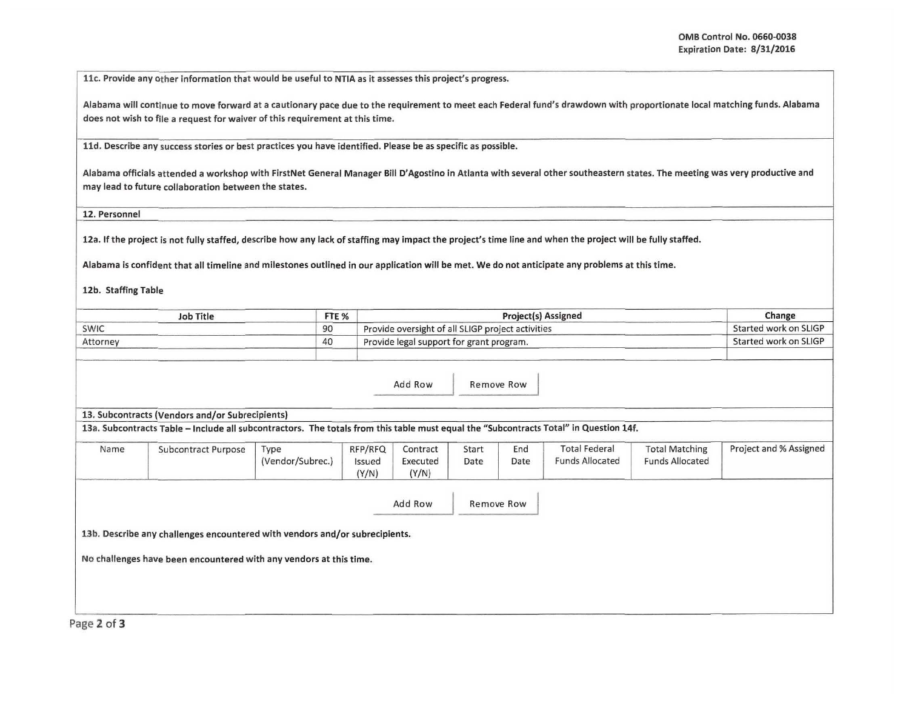11c. Provide any other information that would be useful to NTIA as it assesses this project's progress.

Alabama will continue to move forward at a cautionary pace due to the requirement to meet each Federal fund's drawdown with proportionate local matching funds. Alabama does not wish to file a request for waiver of this requirement at this time.

lld. Describe any success stories or best practices you have identified. Please be as specific as possible.

Alabama officials attended a workshop with FirstNet General Manager Bill D'Agostino in Atlanta with several other southeastern states. The meeting was very productive and may lead to future collaboration between the states.

12. Personnel

12a. If the project is not fully staffed, describe how any lack of staffing may impact the project's time line and when the project will be fully staffed.

Alabama is confident that all timeline and milestones outlined in our application will be met. We do not anticipate any problems at this time.

12b. Staffing Table

| Job Title | FTE <sub>%</sub> | <b>Project(s) Assigned</b>                        | Change                |
|-----------|------------------|---------------------------------------------------|-----------------------|
| SWIC      | 90               | Provide oversight of all SLIGP project activities | Started work on SLIGP |
| Attorney  | 40               | Provide legal support for grant program.          | Started work on SLIGP |

Add Row Remove Row

13. Subcontracts (Vendors and/or Subrecipients)

13a. Subcontracts Table -Include all subcontractors. The totals from this table must equal the "Subcontracts Total" in Question 14f.

| Name | <b>Subcontract Purpose</b>                                                  | Type<br>(Vendor/Subrec.) | RFP/RFQ<br>Issued<br>(Y/N) | Contract<br>Executed<br>(Y/N) | Start<br>Date | End<br>Date | <b>Total Federal</b><br><b>Funds Allocated</b> | <b>Total Matching</b><br><b>Funds Allocated</b> | Project and % Assigned |
|------|-----------------------------------------------------------------------------|--------------------------|----------------------------|-------------------------------|---------------|-------------|------------------------------------------------|-------------------------------------------------|------------------------|
|      |                                                                             |                          |                            | Add Row                       |               | Remove Row  |                                                |                                                 |                        |
|      | 13b. Describe any challenges encountered with vendors and/or subrecipients. |                          |                            |                               |               |             |                                                |                                                 |                        |
|      | No challenges have been encountered with any vendors at this time.          |                          |                            |                               |               |             |                                                |                                                 |                        |